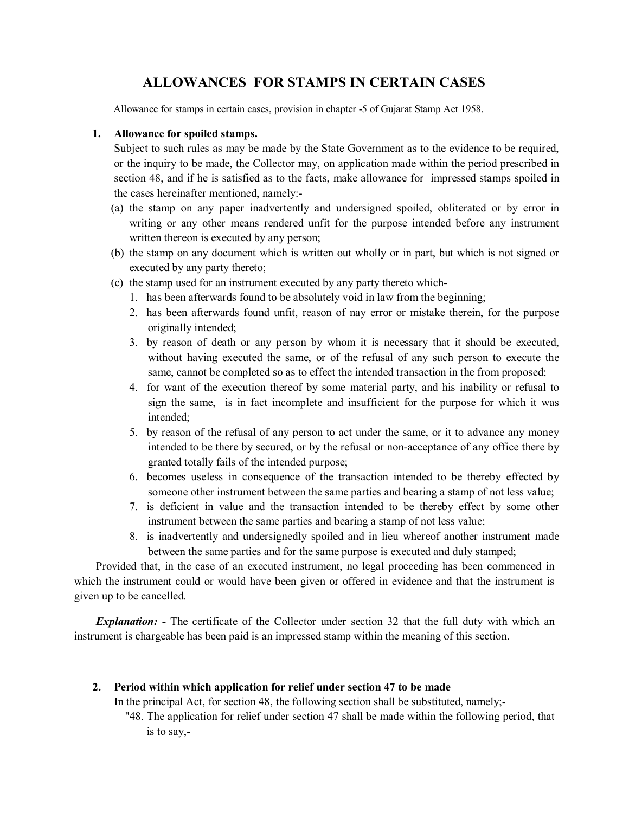# ALLOWANCES FOR STAMPS IN CERTAIN CASES

Allowance for stamps in certain cases, provision in chapter -5 of Gujarat Stamp Act 1958.

### 1. Allowance for spoiled stamps.

Subject to such rules as may be made by the State Government as to the evidence to be required, or the inquiry to be made, the Collector may, on application made within the period prescribed in section 48, and if he is satisfied as to the facts, make allowance for impressed stamps spoiled in the cases hereinafter mentioned, namely:-

- (a) the stamp on any paper inadvertently and undersigned spoiled, obliterated or by error in writing or any other means rendered unfit for the purpose intended before any instrument written thereon is executed by any person;
- (b) the stamp on any document which is written out wholly or in part, but which is not signed or executed by any party thereto;
- (c) the stamp used for an instrument executed by any party thereto which-
	- 1. has been afterwards found to be absolutely void in law from the beginning;
	- 2. has been afterwards found unfit, reason of nay error or mistake therein, for the purpose originally intended;
	- 3. by reason of death or any person by whom it is necessary that it should be executed, without having executed the same, or of the refusal of any such person to execute the same, cannot be completed so as to effect the intended transaction in the from proposed;
	- 4. for want of the execution thereof by some material party, and his inability or refusal to sign the same, is in fact incomplete and insufficient for the purpose for which it was intended;
	- 5. by reason of the refusal of any person to act under the same, or it to advance any money intended to be there by secured, or by the refusal or non-acceptance of any office there by granted totally fails of the intended purpose;
	- 6. becomes useless in consequence of the transaction intended to be thereby effected by someone other instrument between the same parties and bearing a stamp of not less value;
	- 7. is deficient in value and the transaction intended to be thereby effect by some other instrument between the same parties and bearing a stamp of not less value;
	- 8. is inadvertently and undersignedly spoiled and in lieu whereof another instrument made between the same parties and for the same purpose is executed and duly stamped;

Provided that, in the case of an executed instrument, no legal proceeding has been commenced in which the instrument could or would have been given or offered in evidence and that the instrument is given up to be cancelled.

*Explanation:* - The certificate of the Collector under section 32 that the full duty with which an instrument is chargeable has been paid is an impressed stamp within the meaning of this section.

### 2. Period within which application for relief under section 47 to be made

In the principal Act, for section 48, the following section shall be substituted, namely;-

 "48. The application for relief under section 47 shall be made within the following period, that is to say,-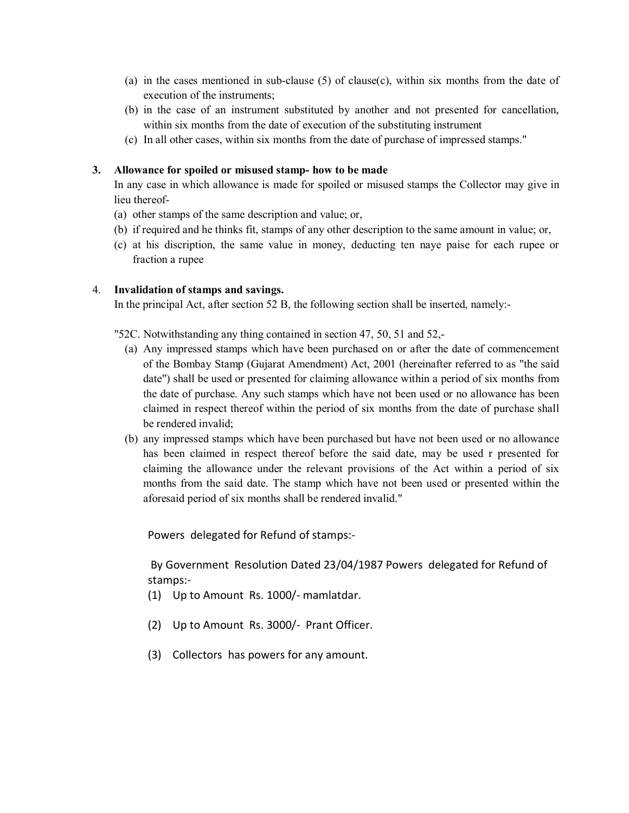- (a) in the cases mentioned in sub-clause (5) of clause(c), within six months from the date of execution of the instruments;
- (b) in the case of an instrument substituted by another and not presented for cancellation, within six months from the date of execution of the substituting instrument
- (c) In all other cases, within six months from the date of purchase of impressed stamps."

# 3. Allowance for spoiled or misused stamp- how to be made

In any case in which allowance is made for spoiled or misused stamps the Collector may give in lieu thereof-

- (a) other stamps of the same description and value; or,
- (b) if required and he thinks fit, stamps of any other description to the same amount in value; or,
- (c) at his discription, the same value in money, deducting ten naye paise for each rupee or fraction a rupee

# 4. Invalidation of stamps and savings.

In the principal Act, after section 52 B, the following section shall be inserted, namely:-

"52C. Notwithstanding any thing contained in section 47, 50, 51 and 52,-

- (a) Any impressed stamps which have been purchased on or after the date of commencement of the Bombay Stamp (Gujarat Amendment) Act, 2001 (hereinafter referred to as "the said date") shall be used or presented for claiming allowance within a period of six months from the date of purchase. Any such stamps which have not been used or no allowance has been claimed in respect thereof within the period of six months from the date of purchase shall be rendered invalid;
- (b) any impressed stamps which have been purchased but have not been used or no allowance has been claimed in respect thereof before the said date, may be used r presented for claiming the allowance under the relevant provisions of the Act within a period of six months from the said date. The stamp which have not been used or presented within the aforesaid period of six months shall be rendered invalid."

Powers delegated for Refund of stamps:-

 By Government Resolution Dated 23/04/1987 Powers delegated for Refund of stamps:-

- (1) Up to Amount Rs. 1000/- mamlatdar.
- (2) Up to Amount Rs. 3000/- Prant Officer.
- (3) Collectors has powers for any amount.